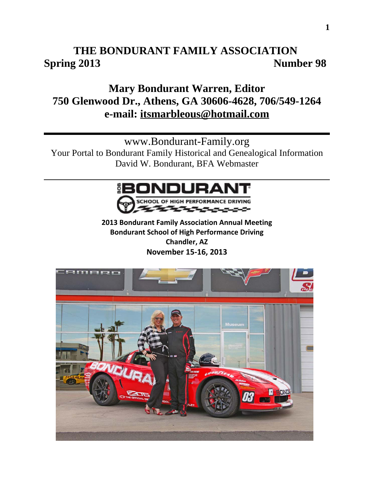# **THE BONDURANT FAMILY ASSOCIATION Spring 2013** Number 98

**Mary Bondurant Warren, Editor 750 Glenwood Dr., Athens, GA 30606-4628, 706/549-1264 e-mail: itsmarbleous@hotmail.com**

www.Bondurant-Family.org

Your Portal to Bondurant Family Historical and Genealogical Information David W. Bondurant, BFA Webmaster



**2013 Bondurant Family Association Annual Meeting Bondurant School of High Performance Driving Chandler, AZ November 15‐16, 2013**

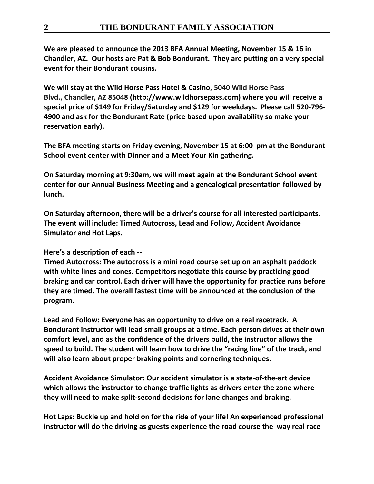**We are pleased to announce the 2013 BFA Annual Meeting, November 15 & 16 in Chandler, AZ. Our hosts are Pat & Bob Bondurant. They are putting on a very special event for their Bondurant cousins.** 

**We will stay at the Wild Horse Pass Hotel & Casino, 5040 Wild Horse Pass Blvd., Chandler, AZ 85048 (http://www.wildhorsepass.com) where you will receive a special price of \$149 for Friday/Saturday and \$129 for weekdays. Please call 520‐796‐ 4900 and ask for the Bondurant Rate (price based upon availability so make your reservation early).**

**The BFA meeting starts on Friday evening, November 15 at 6:00 pm at the Bondurant School event center with Dinner and a Meet Your Kin gathering.** 

**On Saturday morning at 9:30am, we will meet again at the Bondurant School event center for our Annual Business Meeting and a genealogical presentation followed by lunch.**

**On Saturday afternoon, there will be a driver's course for all interested participants. The event will include: Timed Autocross, Lead and Follow, Accident Avoidance Simulator and Hot Laps.**

# **Here's a description of each ‐‐**

**Timed Autocross: The autocross is a mini road course set up on an asphalt paddock with white lines and cones. Competitors negotiate this course by practicing good braking and car control. Each driver will have the opportunity for practice runs before they are timed. The overall fastest time will be announced at the conclusion of the program.**

**Lead and Follow: Everyone has an opportunity to drive on a real racetrack. A Bondurant instructor will lead small groups at a time. Each person drives at their own comfort level, and as the confidence of the drivers build, the instructor allows the speed to build. The student will learn how to drive the "racing line" of the track, and will also learn about proper braking points and cornering techniques.**

**Accident Avoidance Simulator: Our accident simulator is a state‐of‐the‐art device which allows the instructor to change traffic lights as drivers enter the zone where they will need to make split‐second decisions for lane changes and braking.**

**Hot Laps: Buckle up and hold on for the ride of your life! An experienced professional instructor will do the driving as guests experience the road course the way real race**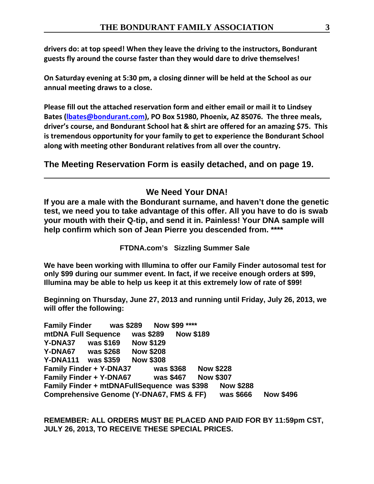**drivers do: at top speed! When they leave the driving to the instructors, Bondurant guests fly around the course faster than they would dare to drive themselves!**

**On Saturday evening at 5:30 pm, a closing dinner will be held at the School as our annual meeting draws to a close.** 

**Please fill out the attached reservation form and either email or mail it to Lindsey Bates (lbates@bondurant.com), PO Box 51980, Phoenix, AZ 85076. The three meals, driver's course, and Bondurant School hat & shirt are offered for an amazing \$75. This is tremendous opportunity for your family to get to experience the Bondurant School along with meeting other Bondurant relatives from all over the country.**

**The Meeting Reservation Form is easily detached, and on page 19.**

# **We Need Your DNA!**

**If you are a male with the Bondurant surname, and haven't done the genetic test, we need you to take advantage of this offer. All you have to do is swab your mouth with their Q-tip, and send it in. Painless! Your DNA sample will help confirm which son of Jean Pierre you descended from. \*\*\*\***

**FTDNA.com's Sizzling Summer Sale** 

**We have been working with Illumina to offer our Family Finder autosomal test for only \$99 during our summer event. In fact, if we receive enough orders at \$99, Illumina may be able to help us keep it at this extremely low of rate of \$99!**

**Beginning on Thursday, June 27, 2013 and running until Friday, July 26, 2013, we will offer the following:**

**Family Finder was \$289 Now \$99 \*\*\*\* mtDNA Full Sequence was \$289 Now \$189 Y-DNA37 was \$169 Now \$129 Y-DNA67 was \$268 Now \$208 Y-DNA111 was \$359 Now \$308 Family Finder + Y-DNA37 was \$368 Now \$228 Family Finder + Y-DNA67 was \$467 Now \$307 Family Finder + mtDNAFullSequence was \$398 Now \$288 Comprehensive Genome (Y-DNA67, FMS & FF) was \$666 Now \$496**

**REMEMBER: ALL ORDERS MUST BE PLACED AND PAID FOR BY 11:59pm CST, JULY 26, 2013, TO RECEIVE THESE SPECIAL PRICES.**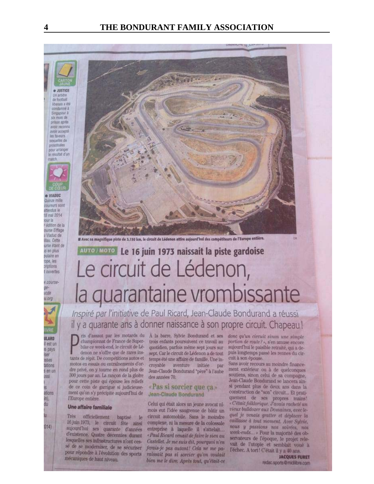### **4 THE BONDURANT FAMILY ASSOCIATION**

**a** JUSTICE Un arbitre de football libanais a été condamné à Singapour à six mois de prison après avoir reconnu avoir accepté les faveurs. sexuelles de prostituées pour arranger le résultat d'un match



· VIADUC **Quinze mille** coureurs sont attendus le 18 mai 2014 sour la edition de la ourse Elffage u Viaduc de mau, Cette vurse étant de is en plus pulaire en rope, les criptions t ouvertes N.COUTSE-

geucde u.org



is pays isar 1556\$

#### tations s en un ussi

#### ations in). du

 $014)$ 

BS.

championnat de France de Super- trois enfants poursuivent ce travail au bike ce week-end, le circuit de Lédenon ne s'offre que de rares instants de répit. De compétitions autos et motos en essais ou entraînements d'ordre privé, on y tourne en rond plus de 300 jours par an. La rançon de la gloire

pour cette piste qui épouse les reliefs de ce coin de garrigue si judicieusement qu'on s'y précipite aujourd'hui de l'Europe entière.

#### Une affaire familiale

officiellement baptisé le Très 16 juin 1973, le circuit fête ainsi aujourd'hui ses quarante d'années d'existence, Quatre décennies durant lesquelles ses infrastructures n'ont cessé de se moderniser, de se sécuriser pour répondre à l'évolution des sports mécaniques de haut niveau.

ris d'assaut par les motards du À la barre, Sylvie Bondurand et ses donc qu'un circuit sinon une simple quotidien, parfois même sept jours sur sept. Car le circuit de Lédenon a de tout temps été une affaire de famille. Une incrovable aventure initiée par Jean-Claude Bondurand "père" à l'aube des années 70.

la quarantaine vrombissante

Inspiré par l'initiative de Paul Ricard, Jean-Claude Bondurand a réussi il y a quarante ans à donner naissance à son propre circuit. Chapeau!

#### «Pas si sorcier que ca» Jean-Claude Bondurand

Celui qui était alors un jeune avocat nîmois eut l'idée saugrenue de bâtir un circuit automobile. Sans le moindre complexe, ni la mesure de la colossale entreprise à laquelle il s'attelait... - Paul Ricard venait de faire le sien au Castellet. Je me suis dit, pourquoi n'en ferais-je pas autant! Cela ne me paraissait pas si sorcier qu'on voulait bien me le dire. Après tout, qu'était-ce

portion de route?», s'en amuse encore aujourd'hui le paisible retraité, qui a depuis longtemps passé les rennes du circuit à son épouse.

Sans avoir recours au moindre financement extérieur ou à de quelconques soutiens, sinon celui de sa compagne, Jean-Claude Bondurand se lancera ainsi pendant plus de deux ans dans la construction de "son" circuit... Et pratiquement de ses propres mains! - C'était folklorique. J'avais racheté un views bulldozer aux Domaines, avec lequel je venais gratter et déplacer la caillasse à tout moment. Avec Sylvie, nous y passions nos soirées, nos week-ends... » Pour la majorité des observateurs de l'époque, le projet relevait de l'utopie et semblait voué à l'échec. A tort! C'était il y a 40 ans.

**JACQUES FURET** redac.sports@midilibre.com



Il Avec sa magnifique piste de 3,150 km, le circuit de Lédenon attire aujourd'hui des compétiteurs de l'Europe entière.

AUTO / MOTO Le 16 juin 1973 naissait la piste gardoise

Le circuit de Lédenon,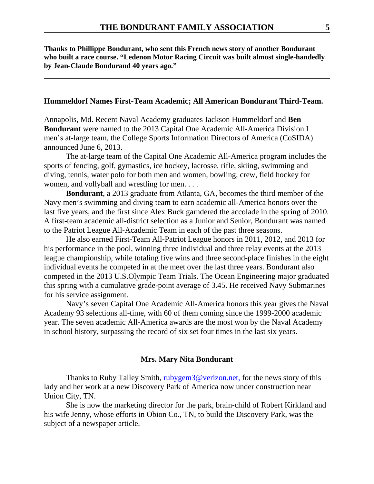**Thanks to Phillippe Bondurant, who sent this French news story of another Bondurant who built a race course. "Ledenon Motor Racing Circuit was built almost single-handedly by Jean-Claude Bondurand 40 years ago."**

#### **Hummeldorf Names First-Team Academic; All American Bondurant Third-Team.**

Annapolis, Md. Recent Naval Academy graduates Jackson Hummeldorf and **Ben Bondurant** were named to the 2013 Capital One Academic All-America Division I men's at-large team, the College Sports Information Directors of America (CoSIDA) announced June 6, 2013.

The at-large team of the Capital One Academic All-America program includes the sports of fencing, golf, gymastics, ice hockey, lacrosse, rifle, skiing, swimming and diving, tennis, water polo for both men and women, bowling, crew, field hockey for women, and vollyball and wrestling for men. . . .

**Bondurant**, a 2013 graduate from Atlanta, GA, becomes the third member of the Navy men's swimming and diving team to earn academic all-America honors over the last five years, and the first since Alex Buck garndered the accolade in the spring of 2010. A first-team academic all-district selection as a Junior and Senior, Bondurant was named to the Patriot League All-Academic Team in each of the past three seasons.

He also earned First-Team All-Patriot League honors in 2011, 2012, and 2013 for his performance in the pool, winning three individual and three relay events at the 2013 league championship, while totaling five wins and three second-place finishes in the eight individual events he competed in at the meet over the last three years. Bondurant also competed in the 2013 U.S.Olympic Team Trials. The Ocean Engineering major graduated this spring with a cumulative grade-point average of 3.45. He received Navy Submarines for his service assignment.

Navy's seven Capital One Academic All-America honors this year gives the Naval Academy 93 selections all-time, with 60 of them coming since the 1999-2000 academic year. The seven academic All-America awards are the most won by the Naval Academy in school history, surpassing the record of six set four times in the last six years.

#### **Mrs. Mary Nita Bondurant**

Thanks to Ruby Talley Smith, rubygem3@verizon.net, for the news story of this lady and her work at a new Discovery Park of America now under construction near Union City, TN.

She is now the marketing director for the park, brain-child of Robert Kirkland and his wife Jenny, whose efforts in Obion Co., TN, to build the Discovery Park, was the subject of a newspaper article.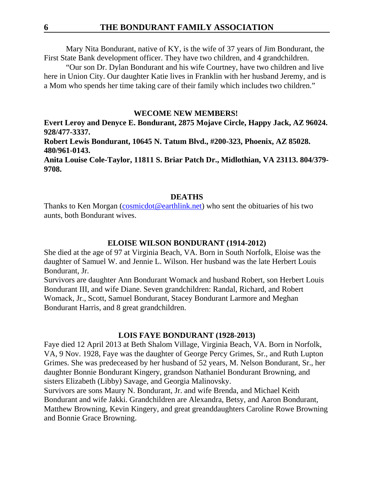Mary Nita Bondurant, native of KY, is the wife of 37 years of Jim Bondurant, the First State Bank development officer. They have two children, and 4 grandchildren.

"Our son Dr. Dylan Bondurant and his wife Courtney, have two children and live here in Union City. Our daughter Katie lives in Franklin with her husband Jeremy, and is a Mom who spends her time taking care of their family which includes two children."

#### **WECOME NEW MEMBERS!**

**Evert Leroy and Denyce E. Bondurant, 2875 Mojave Circle, Happy Jack, AZ 96024. 928/477-3337. Robert Lewis Bondurant, 10645 N. Tatum Blvd., #200-323, Phoenix, AZ 85028. 480/961-0143. Anita Louise Cole-Taylor, 11811 S. Briar Patch Dr., Midlothian, VA 23113. 804/379- 9708.**

#### **DEATHS**

Thanks to Ken Morgan (cosmicdot@earthlink.net) who sent the obituaries of his two aunts, both Bondurant wives.

#### **ELOISE WILSON BONDURANT (1914-2012)**

She died at the age of 97 at Virginia Beach, VA. Born in South Norfolk, Eloise was the daughter of Samuel W. and Jennie L. Wilson. Her husband was the late Herbert Louis Bondurant, Jr.

Survivors are daughter Ann Bondurant Womack and husband Robert, son Herbert Louis Bondurant III, and wife Diane. Seven grandchildren: Randal, Richard, and Robert Womack, Jr., Scott, Samuel Bondurant, Stacey Bondurant Larmore and Meghan Bondurant Harris, and 8 great grandchildren.

#### **LOIS FAYE BONDURANT (1928-2013)**

Faye died 12 April 2013 at Beth Shalom Village, Virginia Beach, VA. Born in Norfolk, VA, 9 Nov. 1928, Faye was the daughter of George Percy Grimes, Sr., and Ruth Lupton Grimes. She was predeceased by her husband of 52 years, M. Nelson Bondurant, Sr., her daughter Bonnie Bondurant Kingery, grandson Nathaniel Bondurant Browning, and sisters Elizabeth (Libby) Savage, and Georgia Malinovsky.

Survivors are sons Maury N. Bondurant, Jr. and wife Brenda, and Michael Keith Bondurant and wife Jakki. Grandchildren are Alexandra, Betsy, and Aaron Bondurant, Matthew Browning, Kevin Kingery, and great greanddaughters Caroline Rowe Browning and Bonnie Grace Browning.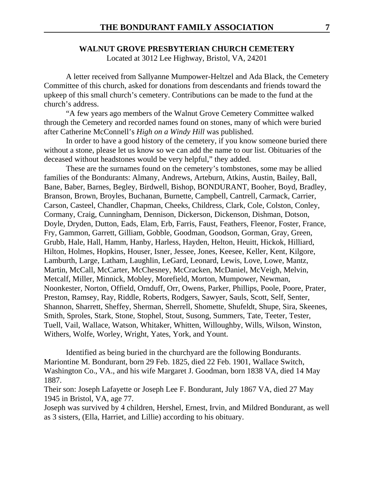# **WALNUT GROVE PRESBYTERIAN CHURCH CEMETERY**

Located at 3012 Lee Highway, Bristol, VA, 24201

A letter received from Sallyanne Mumpower-Heltzel and Ada Black, the Cemetery Committee of this church, asked for donations from descendants and friends toward the upkeep of this small church's cemetery. Contributions can be made to the fund at the church's address.

"A few years ago members of the Walnut Grove Cemetery Committee walked through the Cemetery and recorded names found on stones, many of which were buried after Catherine McConnell's *High on a Windy Hill* was published.

In order to have a good history of the cemetery, if you know someone buried there without a stone, please let us know so we can add the name to our list. Obituaries of the deceased without headstones would be very helpful," they added.

These are the surnames found on the cemetery's tombstones, some may be allied families of the Bondurants: Almany, Andrews, Arteburn, Atkins, Austin, Bailey, Ball, Bane, Baber, Barnes, Begley, Birdwell, Bishop, BONDURANT, Booher, Boyd, Bradley, Branson, Brown, Broyles, Buchanan, Burnette, Campbell, Cantrell, Carmack, Carrier, Carson, Casteel, Chandler, Chapman, Cheeks, Childress, Clark, Cole, Colston, Conley, Cormany, Craig, Cunningham, Dennison, Dickerson, Dickenson, Dishman, Dotson, Doyle, Dryden, Dutton, Eads, Elam, Erb, Farris, Faust, Feathers, Fleenor, Foster, France, Fry, Gammon, Garrett, Gilliam, Gobble, Goodman, Goodson, Gorman, Gray, Green, Grubb, Hale, Hall, Hamm, Hanby, Harless, Hayden, Helton, Heuitt, Hickok, Hilliard, Hilton, Holmes, Hopkins, Houser, Isner, Jessee, Jones, Keesee, Keller, Kent, Kilgore, Lamburth, Large, Latham, Laughlin, LeGard, Leonard, Lewis, Love, Lowe, Mantz, Martin, McCall, McCarter, McChesney, McCracken, McDaniel, McVeigh, Melvin, Metcalf, Miller, Minnick, Mobley, Morefield, Morton, Mumpower, Newman, Noonkester, Norton, Offield, Ornduff, Orr, Owens, Parker, Phillips, Poole, Poore, Prater, Preston, Ramsey, Ray, Riddle, Roberts, Rodgers, Sawyer, Sauls, Scott, Self, Senter, Shannon, Sharrett, Sheffey, Sherman, Sherrell, Shomette, Shufeldt, Shupe, Sira, Skeenes, Smith, Sproles, Stark, Stone, Stophel, Stout, Susong, Summers, Tate, Teeter, Tester, Tuell, Vail, Wallace, Watson, Whitaker, Whitten, Willoughby, Wills, Wilson, Winston, Withers, Wolfe, Worley, Wright, Yates, York, and Yount.

Identified as being buried in the churchyard are the following Bondurants. Mariontine M. Bondurant, born 29 Feb. 1825, died 22 Feb. 1901, Wallace Switch, Washington Co., VA., and his wife Margaret J. Goodman, born 1838 VA, died 14 May 1887.

Their son: Joseph Lafayette or Joseph Lee F. Bondurant, July 1867 VA, died 27 May 1945 in Bristol, VA, age 77.

Joseph was survived by 4 children, Hershel, Ernest, Irvin, and Mildred Bondurant, as well as 3 sisters, (Ella, Harriet, and Lillie) according to his obituary.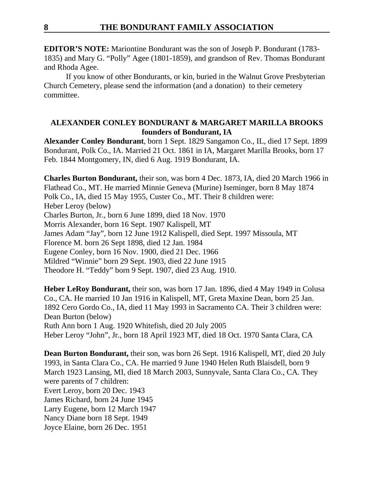**EDITOR'S NOTE:** Mariontine Bondurant was the son of Joseph P. Bondurant (1783- 1835) and Mary G. "Polly" Agee (1801-1859), and grandson of Rev. Thomas Bondurant and Rhoda Agee.

If you know of other Bondurants, or kin, buried in the Walnut Grove Presbyterian Church Cemetery, please send the information (and a donation) to their cemetery committee.

# **ALEXANDER CONLEY BONDURANT & MARGARET MARILLA BROOKS founders of Bondurant, IA**

**Alexander Conley Bondurant**, born 1 Sept. 1829 Sangamon Co., IL, died 17 Sept. 1899 Bondurant, Polk Co., IA. Married 21 Oct. 1861 in IA, Margaret Marilla Brooks, born 17 Feb. 1844 Montgomery, IN, died 6 Aug. 1919 Bondurant, IA.

**Charles Burton Bondurant,** their son, was born 4 Dec. 1873, IA, died 20 March 1966 in Flathead Co., MT. He married Minnie Geneva (Murine) Iseminger, born 8 May 1874 Polk Co., IA, died 15 May 1955, Custer Co., MT. Their 8 children were: Heber Leroy (below) Charles Burton, Jr., born 6 June 1899, died 18 Nov. 1970 Morris Alexander, born 16 Sept. 1907 Kalispell, MT James Adam "Jay", born 12 June 1912 Kalispell, died Sept. 1997 Missoula, MT Florence M. born 26 Sept 1898, died 12 Jan. 1984 Eugene Conley, born 16 Nov. 1900, died 21 Dec. 1966 Mildred "Winnie" born 29 Sept. 1903, died 22 June 1915 Theodore H. "Teddy" born 9 Sept. 1907, died 23 Aug. 1910.

**Heber LeRoy Bondurant,** their son, was born 17 Jan. 1896, died 4 May 1949 in Colusa Co., CA. He married 10 Jan 1916 in Kalispell, MT, Greta Maxine Dean, born 25 Jan. 1892 Cero Gordo Co., IA, died 11 May 1993 in Sacramento CA. Their 3 children were: Dean Burton (below) Ruth Ann born 1 Aug. 1920 Whitefish, died 20 July 2005 Heber Leroy "John", Jr., born 18 April 1923 MT, died 18 Oct. 1970 Santa Clara, CA

**Dean Burton Bondurant,** their son, was born 26 Sept. 1916 Kalispell, MT, died 20 July 1993, in Santa Clara Co., CA. He married 9 June 1940 Helen Ruth Blaisdell, born 9 March 1923 Lansing, MI, died 18 March 2003, Sunnyvale, Santa Clara Co., CA. They were parents of 7 children: Evert Leroy, born 20 Dec. 1943 James Richard, born 24 June 1945 Larry Eugene, born 12 March 1947 Nancy Diane born 18 Sept. 1949 Joyce Elaine, born 26 Dec. 1951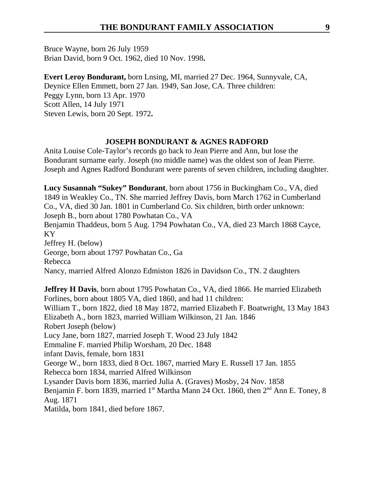Bruce Wayne, born 26 July 1959 Brian David, born 9 Oct. 1962, died 10 Nov. 1998**.**

**Evert Leroy Bondurant,** born Lnsing, MI, married 27 Dec. 1964, Sunnyvale, CA, Deynice Ellen Emmett, born 27 Jan. 1949, San Jose, CA. Three children: Peggy Lynn, born 13 Apr. 1970 Scott Allen, 14 July 1971 Steven Lewis, born 20 Sept. 1972**.**

# **JOSEPH BONDURANT & AGNES RADFORD**

Anita Louise Cole-Taylor's records go back to Jean Pierre and Ann, but lose the Bondurant surname early. Joseph (no middle name) was the oldest son of Jean Pierre. Joseph and Agnes Radford Bondurant were parents of seven children, including daughter.

**Lucy Susannah "Sukey" Bondurant**, born about 1756 in Buckingham Co., VA, died 1849 in Weakley Co., TN. She married Jeffrey Davis, born March 1762 in Cumberland Co., VA, died 30 Jan. 1801 in Cumberland Co. Six children, birth order unknown: Joseph B., born about 1780 Powhatan Co., VA Benjamin Thaddeus, born 5 Aug. 1794 Powhatan Co., VA, died 23 March 1868 Cayce, KY Jeffrey H. (below) George, born about 1797 Powhatan Co., Ga Rebecca Nancy, married Alfred Alonzo Edmiston 1826 in Davidson Co., TN. 2 daughters **Jeffrey H Davis**, born about 1795 Powhatan Co., VA, died 1866. He married Elizabeth Forlines, born about 1805 VA, died 1860, and had 11 children: William T., born 1822, died 18 May 1872, married Elizabeth F. Boatwright, 13 May 1843 Elizabeth A., born 1823, married William Wilkinson, 21 Jan. 1846 Robert Joseph (below) Lucy Jane, born 1827, married Joseph T. Wood 23 July 1842 Emmaline F. married Philip Worsham, 20 Dec. 1848 infant Davis, female, born 1831 George W., born 1833, died 8 Oct. 1867, married Mary E. Russell 17 Jan. 1855 Rebecca born 1834, married Alfred Wilkinson Lysander Davis born 1836, married Julia A. (Graves) Mosby, 24 Nov. 1858 Benjamin F. born 1839, married 1<sup>st</sup> Martha Mann 24 Oct. 1860, then 2<sup>nd</sup> Ann E. Toney, 8 Aug. 1871 Matilda, born 1841, died before 1867.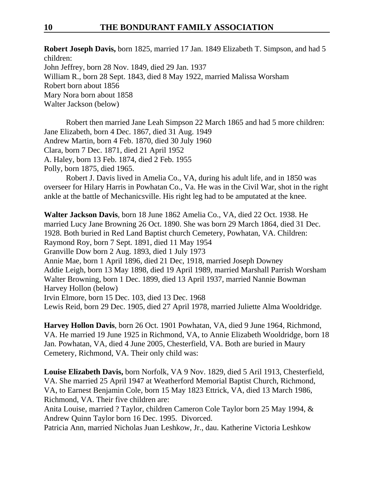**Robert Joseph Davis,** born 1825, married 17 Jan. 1849 Elizabeth T. Simpson, and had 5 children: John Jeffrey, born 28 Nov. 1849, died 29 Jan. 1937 William R., born 28 Sept. 1843, died 8 May 1922, married Malissa Worsham Robert born about 1856 Mary Nora born about 1858 Walter Jackson (below)

Robert then married Jane Leah Simpson 22 March 1865 and had 5 more children: Jane Elizabeth, born 4 Dec. 1867, died 31 Aug. 1949 Andrew Martin, born 4 Feb. 1870, died 30 July 1960 Clara, born 7 Dec. 1871, died 21 April 1952 A. Haley, born 13 Feb. 1874, died 2 Feb. 1955 Polly, born 1875, died 1965.

Robert J. Davis lived in Amelia Co., VA, during his adult life, and in 1850 was overseer for Hilary Harris in Powhatan Co., Va. He was in the Civil War, shot in the right ankle at the battle of Mechanicsville. His right leg had to be amputated at the knee.

**Walter Jackson Davis**, born 18 June 1862 Amelia Co., VA, died 22 Oct. 1938. He married Lucy Jane Browning 26 Oct. 1890. She was born 29 March 1864, died 31 Dec. 1928. Both buried in Red Land Baptist church Cemetery, Powhatan, VA. Children: Raymond Roy, born 7 Sept. 1891, died 11 May 1954 Granville Dow born 2 Aug. 1893, died 1 July 1973 Annie Mae, born 1 April 1896, died 21 Dec, 1918, married Joseph Downey Addie Leigh, born 13 May 1898, died 19 April 1989, married Marshall Parrish Worsham Walter Browning, born 1 Dec. 1899, died 13 April 1937, married Nannie Bowman Harvey Hollon (below) Irvin Elmore, born 15 Dec. 103, died 13 Dec. 1968 Lewis Reid, born 29 Dec. 1905, died 27 April 1978, married Juliette Alma Wooldridge.

**Harvey Hollon Davis**, born 26 Oct. 1901 Powhatan, VA, died 9 June 1964, Richmond, VA. He married 19 June 1925 in Richmond, VA, to Annie Elizabeth Wooldridge, born 18 Jan. Powhatan, VA, died 4 June 2005, Chesterfield, VA. Both are buried in Maury Cemetery, Richmond, VA. Their only child was:

**Louise Elizabeth Davis,** born Norfolk, VA 9 Nov. 1829, died 5 Aril 1913, Chesterfield, VA. She married 25 April 1947 at Weatherford Memorial Baptist Church, Richmond, VA, to Earnest Benjamin Cole, born 15 May 1823 Ettrick, VA, died 13 March 1986, Richmond, VA. Their five children are:

Anita Louise, married ? Taylor, children Cameron Cole Taylor born 25 May 1994, & Andrew Quinn Taylor born 16 Dec. 1995. Divorced.

Patricia Ann, married Nicholas Juan Leshkow, Jr., dau. Katherine Victoria Leshkow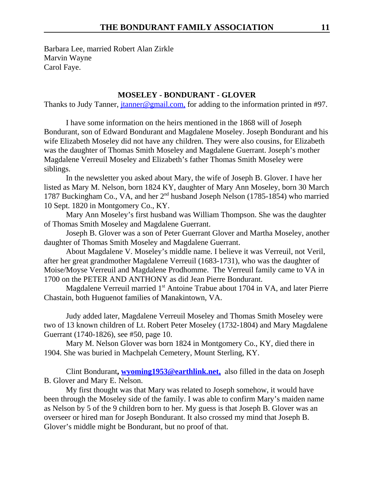Barbara Lee, married Robert Alan Zirkle Marvin Wayne Carol Faye.

### **MOSELEY - BONDURANT - GLOVER**

Thanks to Judy Tanner, jtanner@gmail.com, for adding to the information printed in #97.

I have some information on the heirs mentioned in the 1868 will of Joseph Bondurant, son of Edward Bondurant and Magdalene Moseley. Joseph Bondurant and his wife Elizabeth Moseley did not have any children. They were also cousins, for Elizabeth was the daughter of Thomas Smith Moseley and Magdalene Guerrant. Joseph's mother Magdalene Verreuil Moseley and Elizabeth's father Thomas Smith Moseley were siblings.

In the newsletter you asked about Mary, the wife of Joseph B. Glover. I have her listed as Mary M. Nelson, born 1824 KY, daughter of Mary Ann Moseley, born 30 March 1787 Buckingham Co., VA, and her  $2<sup>nd</sup>$  husband Joseph Nelson (1785-1854) who married 10 Sept. 1820 in Montgomery Co., KY.

Mary Ann Moseley's first husband was William Thompson. She was the daughter of Thomas Smith Moseley and Magdalene Guerrant.

Joseph B. Glover was a son of Peter Guerrant Glover and Martha Moseley, another daughter of Thomas Smith Moseley and Magdalene Guerrant.

About Magdalene V. Moseley's middle name. I believe it was Verreuil, not Veril, after her great grandmother Magdalene Verreuil (1683-1731), who was the daughter of Moise/Moyse Verreuil and Magdalene Prodhomme. The Verreuil family came to VA in 1700 on the PETER AND ANTHONY as did Jean Pierre Bondurant.

Magdalene Verreuil married 1<sup>st</sup> Antoine Trabue about 1704 in VA, and later Pierre Chastain, both Huguenot families of Manakintown, VA.

Judy added later, Magdalene Verreuil Moseley and Thomas Smith Moseley were two of 13 known children of Lt. Robert Peter Moseley (1732-1804) and Mary Magdalene Guerrant (1740-1826), see #50, page 10.

Mary M. Nelson Glover was born 1824 in Montgomery Co., KY, died there in 1904. She was buried in Machpelah Cemetery, Mount Sterling, KY.

Clint Bondurant**, wyoming1953@earthlink.net,** also filled in the data on Joseph B. Glover and Mary E. Nelson.

My first thought was that Mary was related to Joseph somehow, it would have been through the Moseley side of the family. I was able to confirm Mary's maiden name as Nelson by 5 of the 9 children born to her. My guess is that Joseph B. Glover was an overseer or hired man for Joseph Bondurant. It also crossed my mind that Joseph B. Glover's middle might be Bondurant, but no proof of that.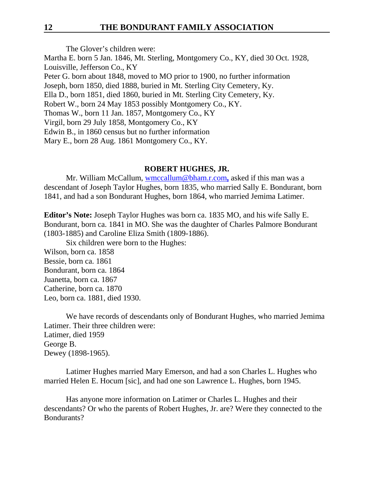The Glover's children were:

Martha E. born 5 Jan. 1846, Mt. Sterling, Montgomery Co., KY, died 30 Oct. 1928, Louisville, Jefferson Co., KY Peter G. born about 1848, moved to MO prior to 1900, no further information Joseph, born 1850, died 1888, buried in Mt. Sterling City Cemetery, Ky. Ella D., born 1851, died 1860, buried in Mt. Sterling City Cemetery, Ky. Robert W., born 24 May 1853 possibly Montgomery Co., KY. Thomas W., born 11 Jan. 1857, Montgomery Co., KY Virgil, born 29 July 1858, Montgomery Co., KY Edwin B., in 1860 census but no further information Mary E., born 28 Aug. 1861 Montgomery Co., KY.

#### **ROBERT HUGHES, JR.**

Mr. William McCallum, wmccallum@bham.r.com**,** asked if this man was a descendant of Joseph Taylor Hughes, born 1835, who married Sally E. Bondurant, born 1841, and had a son Bondurant Hughes, born 1864, who married Jemima Latimer.

**Editor's Note:** Joseph Taylor Hughes was born ca. 1835 MO, and his wife Sally E. Bondurant, born ca. 1841 in MO. She was the daughter of Charles Palmore Bondurant (1803-1885) and Caroline Eliza Smith (1809-1886).

Six children were born to the Hughes:

Wilson, born ca. 1858 Bessie, born ca. 1861 Bondurant, born ca. 1864 Juanetta, born ca. 1867 Catherine, born ca. 1870 Leo, born ca. 1881, died 1930.

We have records of descendants only of Bondurant Hughes, who married Jemima Latimer. Their three children were: Latimer, died 1959 George B. Dewey (1898-1965).

Latimer Hughes married Mary Emerson, and had a son Charles L. Hughes who married Helen E. Hocum [sic], and had one son Lawrence L. Hughes, born 1945.

Has anyone more information on Latimer or Charles L. Hughes and their descendants? Or who the parents of Robert Hughes, Jr. are? Were they connected to the Bondurants?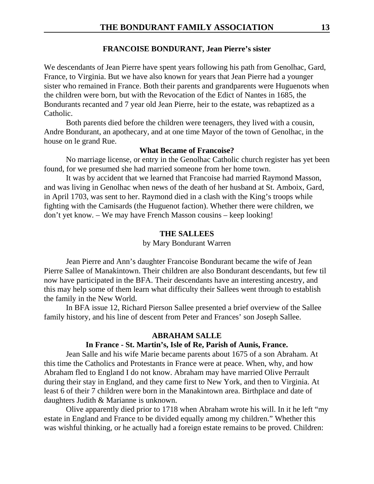### **FRANCOISE BONDURANT, Jean Pierre's sister**

We descendants of Jean Pierre have spent years following his path from Genolhac, Gard, France, to Virginia. But we have also known for years that Jean Pierre had a younger sister who remained in France. Both their parents and grandparents were Huguenots when the children were born, but with the Revocation of the Edict of Nantes in 1685, the Bondurants recanted and 7 year old Jean Pierre, heir to the estate, was rebaptized as a Catholic.

Both parents died before the children were teenagers, they lived with a cousin, Andre Bondurant, an apothecary, and at one time Mayor of the town of Genolhac, in the house on le grand Rue.

#### **What Became of Francoise?**

No marriage license, or entry in the Genolhac Catholic church register has yet been found, for we presumed she had married someone from her home town.

It was by accident that we learned that Francoise had married Raymond Masson, and was living in Genolhac when news of the death of her husband at St. Amboix, Gard, in April 1703, was sent to her. Raymond died in a clash with the King's troops while fighting with the Camisards (the Huguenot faction). Whether there were children, we don't yet know. – We may have French Masson cousins – keep looking!

#### **THE SALLEES**

#### by Mary Bondurant Warren

Jean Pierre and Ann's daughter Francoise Bondurant became the wife of Jean Pierre Sallee of Manakintown. Their children are also Bondurant descendants, but few til now have participated in the BFA. Their descendants have an interesting ancestry, and this may help some of them learn what difficulty their Sallees went through to establish the family in the New World.

In BFA issue 12, Richard Pierson Sallee presented a brief overview of the Sallee family history, and his line of descent from Peter and Frances' son Joseph Sallee.

#### **ABRAHAM SALLE**

#### **In France - St. Martin's, Isle of Re, Parish of Aunis, France.**

Jean Salle and his wife Marie became parents about 1675 of a son Abraham. At this time the Catholics and Protestants in France were at peace. When, why, and how Abraham fled to England I do not know. Abraham may have married Olive Perrault during their stay in England, and they came first to New York, and then to Virginia. At least 6 of their 7 children were born in the Manakintown area. Birthplace and date of daughters Judith & Marianne is unknown.

Olive apparently died prior to 1718 when Abraham wrote his will. In it he left "my estate in England and France to be divided equally among my children." Whether this was wishful thinking, or he actually had a foreign estate remains to be proved. Children: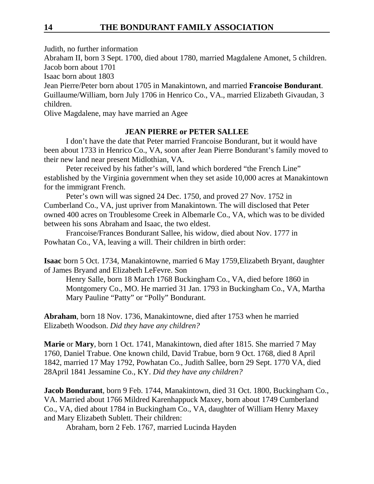Judith, no further information

Abraham II, born 3 Sept. 1700, died about 1780, married Magdalene Amonet, 5 children. Jacob born about 1701

Isaac born about 1803

Jean Pierre/Peter born about 1705 in Manakintown, and married **Francoise Bondurant**. Guillaume/William, born July 1706 in Henrico Co., VA., married Elizabeth Givaudan, 3 children.

Olive Magdalene, may have married an Agee

# **JEAN PIERRE or PETER SALLEE**

I don't have the date that Peter married Francoise Bondurant, but it would have been about 1733 in Henrico Co., VA, soon after Jean Pierre Bondurant's family moved to their new land near present Midlothian, VA.

Peter received by his father's will, land which bordered "the French Line" established by the Virginia government when they set aside 10,000 acres at Manakintown for the immigrant French.

Peter's own will was signed 24 Dec. 1750, and proved 27 Nov. 1752 in Cumberland Co., VA, just upriver from Manakintown. The will disclosed that Peter owned 400 acres on Troublesome Creek in Albemarle Co., VA, which was to be divided between his sons Abraham and Isaac, the two eldest.

Francoise/Frances Bondurant Sallee, his widow, died about Nov. 1777 in Powhatan Co., VA, leaving a will. Their children in birth order:

**Isaac** born 5 Oct. 1734, Manakintowne, married 6 May 1759,Elizabeth Bryant, daughter of James Bryand and Elizabeth LeFevre. Son

Henry Salle, born 18 March 1768 Buckingham Co., VA, died before 1860 in Montgomery Co., MO. He married 31 Jan. 1793 in Buckingham Co., VA, Martha Mary Pauline "Patty" or "Polly" Bondurant.

**Abraham**, born 18 Nov. 1736, Manakintowne, died after 1753 when he married Elizabeth Woodson. *Did they have any children?*

**Marie** or **Mary**, born 1 Oct. 1741, Manakintown, died after 1815. She married 7 May 1760, Daniel Trabue. One known child, David Trabue, born 9 Oct. 1768, died 8 April 1842, married 17 May 1792, Powhatan Co., Judith Sallee, born 29 Sept. 1770 VA, died 28April 1841 Jessamine Co., KY. *Did they have any children?*

**Jacob Bondurant**, born 9 Feb. 1744, Manakintown, died 31 Oct. 1800, Buckingham Co., VA. Married about 1766 Mildred Karenhappuck Maxey, born about 1749 Cumberland Co., VA, died about 1784 in Buckingham Co., VA, daughter of William Henry Maxey and Mary Elizabeth Sublett. Their children:

Abraham, born 2 Feb. 1767, married Lucinda Hayden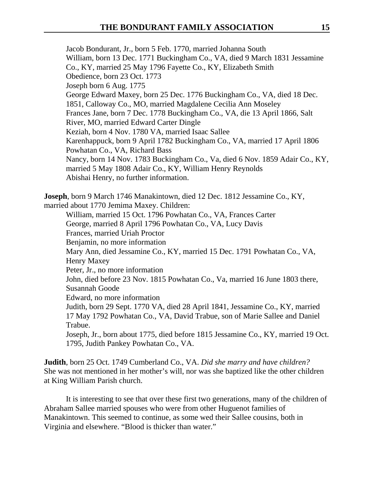Jacob Bondurant, Jr., born 5 Feb. 1770, married Johanna South William, born 13 Dec. 1771 Buckingham Co., VA, died 9 March 1831 Jessamine Co., KY, married 25 May 1796 Fayette Co., KY, Elizabeth Smith Obedience, born 23 Oct. 1773 Joseph born 6 Aug. 1775 George Edward Maxey, born 25 Dec. 1776 Buckingham Co., VA, died 18 Dec. 1851, Calloway Co., MO, married Magdalene Cecilia Ann Moseley Frances Jane, born 7 Dec. 1778 Buckingham Co., VA, die 13 April 1866, Salt River, MO, married Edward Carter Dingle Keziah, born 4 Nov. 1780 VA, married Isaac Sallee Karenhappuck, born 9 April 1782 Buckingham Co., VA, married 17 April 1806 Powhatan Co., VA, Richard Bass Nancy, born 14 Nov. 1783 Buckingham Co., Va, died 6 Nov. 1859 Adair Co., KY, married 5 May 1808 Adair Co., KY, William Henry Reynolds Abishai Henry, no further information.

**Joseph**, born 9 March 1746 Manakintown, died 12 Dec. 1812 Jessamine Co., KY, married about 1770 Jemima Maxey. Children:

William, married 15 Oct. 1796 Powhatan Co., VA, Frances Carter George, married 8 April 1796 Powhatan Co., VA, Lucy Davis Frances, married Uriah Proctor Benjamin, no more information Mary Ann, died Jessamine Co., KY, married 15 Dec. 1791 Powhatan Co., VA, Henry Maxey Peter, Jr., no more information John, died before 23 Nov. 1815 Powhatan Co., Va, married 16 June 1803 there, Susannah Goode Edward, no more information Judith, born 29 Sept. 1770 VA, died 28 April 1841, Jessamine Co., KY, married 17 May 1792 Powhatan Co., VA, David Trabue, son of Marie Sallee and Daniel Trabue. Joseph, Jr., born about 1775, died before 1815 Jessamine Co., KY, married 19 Oct. 1795, Judith Pankey Powhatan Co., VA.

**Judith**, born 25 Oct. 1749 Cumberland Co., VA. *Did she marry and have children?* She was not mentioned in her mother's will, nor was she baptized like the other children at King William Parish church.

It is interesting to see that over these first two generations, many of the children of Abraham Sallee married spouses who were from other Huguenot families of Manakintown. This seemed to continue, as some wed their Sallee cousins, both in Virginia and elsewhere. "Blood is thicker than water."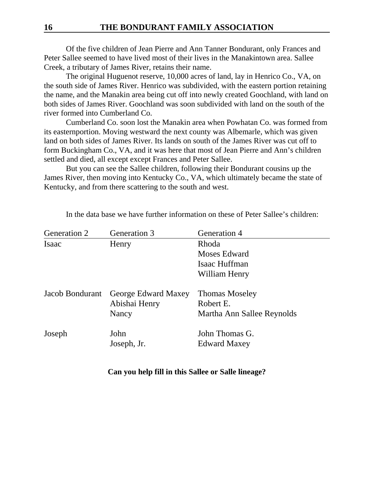Of the five children of Jean Pierre and Ann Tanner Bondurant, only Frances and Peter Sallee seemed to have lived most of their lives in the Manakintown area. Sallee Creek, a tributary of James River, retains their name.

The original Huguenot reserve, 10,000 acres of land, lay in Henrico Co., VA, on the south side of James River. Henrico was subdivided, with the eastern portion retaining the name, and the Manakin area being cut off into newly created Goochland, with land on both sides of James River. Goochland was soon subdivided with land on the south of the river formed into Cumberland Co.

Cumberland Co. soon lost the Manakin area when Powhatan Co. was formed from its easternportion. Moving westward the next county was Albemarle, which was given land on both sides of James River. Its lands on south of the James River was cut off to form Buckingham Co., VA, and it was here that most of Jean Pierre and Ann's children settled and died, all except except Frances and Peter Sallee.

But you can see the Sallee children, following their Bondurant cousins up the James River, then moving into Kentucky Co., VA, which ultimately became the state of Kentucky, and from there scattering to the south and west.

| Generation 3        | Generation 4               |
|---------------------|----------------------------|
| Henry               | Rhoda                      |
|                     | Moses Edward               |
|                     | Isaac Huffman              |
|                     | William Henry              |
| George Edward Maxey | <b>Thomas Moseley</b>      |
| Abishai Henry       | Robert E.                  |
| Nancy               | Martha Ann Sallee Reynolds |
| John                | John Thomas G.             |
| Joseph, Jr.         | <b>Edward Maxey</b>        |
|                     |                            |

In the data base we have further information on these of Peter Sallee's children:

#### **Can you help fill in this Sallee or Salle lineage?**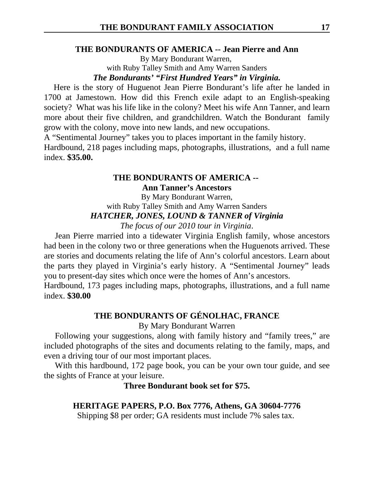# **THE BONDURANTS OF AMERICA -- Jean Pierre and Ann**

By Mary Bondurant Warren, with Ruby Talley Smith and Amy Warren Sanders *The Bondurants' "First Hundred Years" in Virginia.*

 Here is the story of Huguenot Jean Pierre Bondurant's life after he landed in 1700 at Jamestown. How did this French exile adapt to an English-speaking society? What was his life like in the colony? Meet his wife Ann Tanner, and learn more about their five children, and grandchildren. Watch the Bondurant family grow with the colony, move into new lands, and new occupations.

A "Sentimental Journey" takes you to places important in the family history.

Hardbound, 218 pages including maps, photographs, illustrations, and a full name index. **\$35.00.** 

# **THE BONDURANTS OF AMERICA --**

### **Ann Tanner's Ancestors**

By Mary Bondurant Warren, with Ruby Talley Smith and Amy Warren Sanders *HATCHER, JONES, LOUND & TANNER of Virginia*

*The focus of our 2010 tour in Virginia*.

Jean Pierre married into a tidewater Virginia English family, whose ancestors had been in the colony two or three generations when the Huguenots arrived. These are stories and documents relating the life of Ann's colorful ancestors. Learn about the parts they played in Virginia's early history. A "Sentimental Journey" leads you to present-day sites which once were the homes of Ann's ancestors.

Hardbound, 173 pages including maps, photographs, illustrations, and a full name index. **\$30.00**

# **THE BONDURANTS OF GÉNOLHAC, FRANCE**

By Mary Bondurant Warren

Following your suggestions, along with family history and "family trees," are included photographs of the sites and documents relating to the family, maps, and even a driving tour of our most important places.

With this hardbound, 172 page book, you can be your own tour guide, and see the sights of France at your leisure.

**Three Bondurant book set for \$75.**

# **HERITAGE PAPERS, P.O. Box 7776, Athens, GA 30604-7776**

Shipping \$8 per order; GA residents must include 7% sales tax.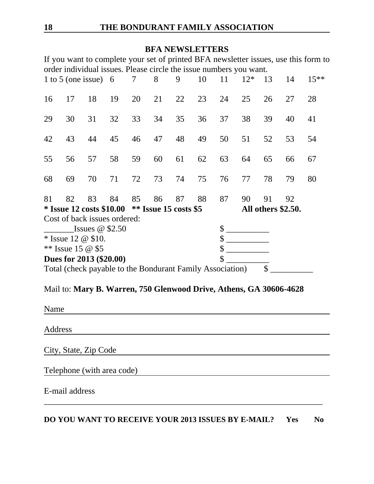# **BFA NEWSLETTERS**

If you want to complete your set of printed BFA newsletter issues, use this form to order individual issues. Please circle the issue numbers you want.

| $\cdot$ $\cdot$ $\cdot$ $\cdot$<br>m: 1/1 1 11 11 n 1<br>$\overline{a}$<br>., |                        |    |    |    |                    |    |       |    |    |        |
|-------------------------------------------------------------------------------|------------------------|----|----|----|--------------------|----|-------|----|----|--------|
| Dues for 2013 (\$20.00)                                                       |                        |    |    |    |                    | \$ |       |    |    |        |
| ** Issue 15 $@$ \$5                                                           |                        |    |    |    |                    | \$ |       |    |    |        |
| * Issue 12 $\omega$ \$10.                                                     |                        |    |    |    |                    |    |       |    |    |        |
|                                                                               | Issues $\omega$ \$2.50 |    |    |    |                    |    |       |    |    |        |
| Cost of back issues ordered:                                                  |                        |    |    |    |                    |    |       |    |    |        |
| $*$ Issue 12 costs \$10.00 $*$ Issue 15 costs \$5                             |                        |    |    |    | All others \$2.50. |    |       |    |    |        |
| 81<br>82<br>83                                                                | 84                     | 85 | 86 | 87 | 88                 | 87 | 90    | 91 | 92 |        |
| 68<br>69<br>70                                                                | 71                     | 72 | 73 | 74 | 75                 | 76 | 77    | 78 | 79 | 80     |
| 55<br>56<br>57                                                                | 58                     | 59 | 60 | 61 | 62                 | 63 | 64    | 65 | 66 | 67     |
| 42<br>43<br>44                                                                | 45                     | 46 | 47 | 48 | 49                 | 50 | 51    | 52 | 53 | 54     |
| 29<br>30<br>31                                                                | 32                     | 33 | 34 | 35 | 36                 | 37 | 38    | 39 | 40 | 41     |
| 18<br>16<br>17                                                                | 19                     | 20 | 21 | 22 | 23                 | 24 | 25    | 26 | 27 | 28     |
| 1 to 5 (one issue) 6                                                          |                        | 7  | 8  | 9  | 10                 | 11 | $12*$ | 13 | 14 | $15**$ |

Total (check payable to the Bondurant Family Association)  $\qquad$  \$

# Mail to: **Mary B. Warren, 750 Glenwood Drive, Athens, GA 30606-4628**

Name

Address

City, State, Zip Code

Telephone (with area code)

E-mail address

**DO YOU WANT TO RECEIVE YOUR 2013 ISSUES BY E-MAIL? Yes No**

\_\_\_\_\_\_\_\_\_\_\_\_\_\_\_\_\_\_\_\_\_\_\_\_\_\_\_\_\_\_\_\_\_\_\_\_\_\_\_\_\_\_\_\_\_\_\_\_\_\_\_\_\_\_\_\_\_\_\_\_\_\_\_\_\_